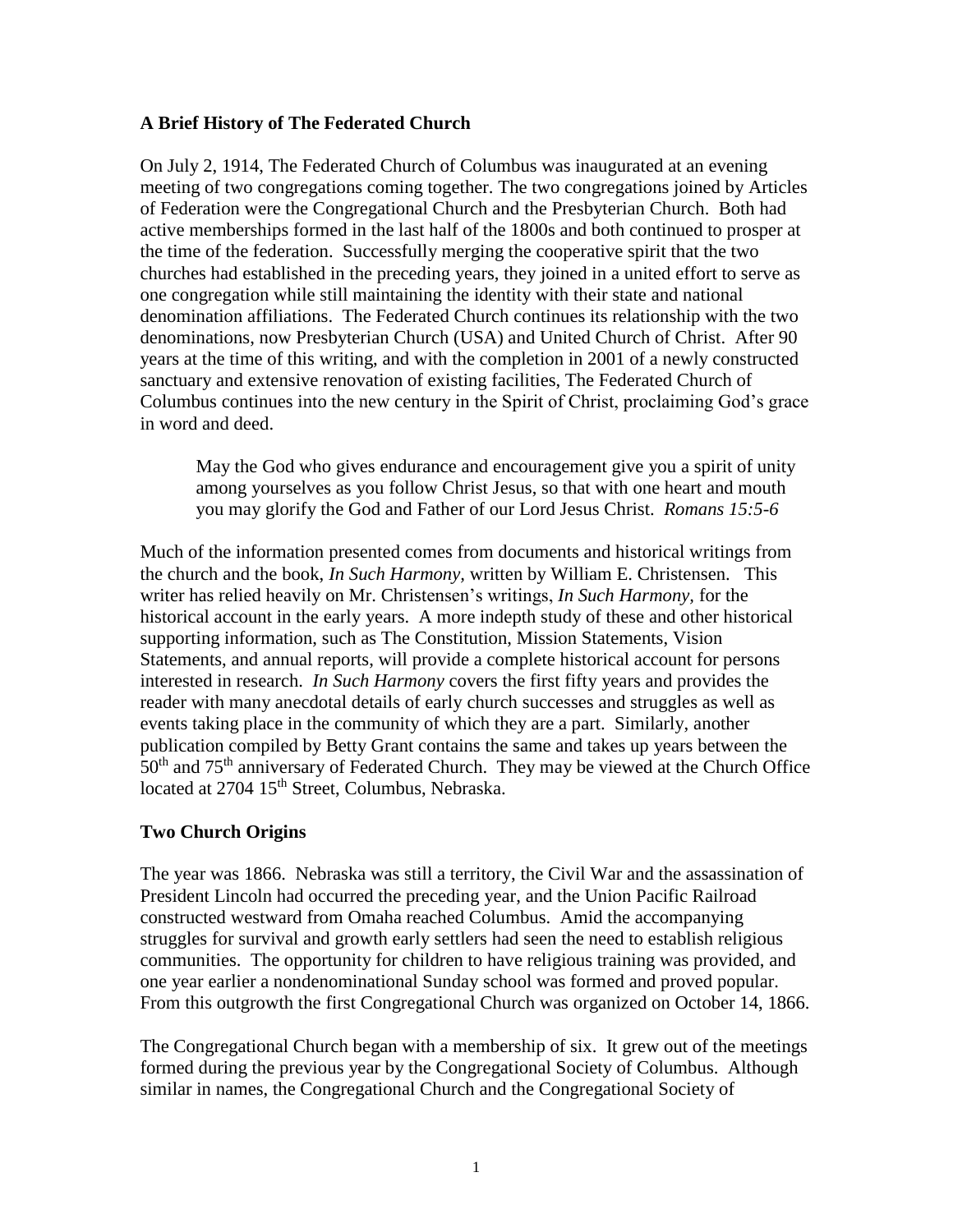## **A Brief History of The Federated Church**

On July 2, 1914, The Federated Church of Columbus was inaugurated at an evening meeting of two congregations coming together. The two congregations joined by Articles of Federation were the Congregational Church and the Presbyterian Church. Both had active memberships formed in the last half of the 1800s and both continued to prosper at the time of the federation. Successfully merging the cooperative spirit that the two churches had established in the preceding years, they joined in a united effort to serve as one congregation while still maintaining the identity with their state and national denomination affiliations. The Federated Church continues its relationship with the two denominations, now Presbyterian Church (USA) and United Church of Christ. After 90 years at the time of this writing, and with the completion in 2001 of a newly constructed sanctuary and extensive renovation of existing facilities, The Federated Church of Columbus continues into the new century in the Spirit of Christ, proclaiming God's grace in word and deed.

May the God who gives endurance and encouragement give you a spirit of unity among yourselves as you follow Christ Jesus, so that with one heart and mouth you may glorify the God and Father of our Lord Jesus Christ. *Romans 15:5-6*

Much of the information presented comes from documents and historical writings from the church and the book, *In Such Harmony,* written by William E. Christensen. This writer has relied heavily on Mr. Christensen's writings, *In Such Harmony,* for the historical account in the early years. A more indepth study of these and other historical supporting information, such as The Constitution, Mission Statements, Vision Statements, and annual reports, will provide a complete historical account for persons interested in research. *In Such Harmony* covers the first fifty years and provides the reader with many anecdotal details of early church successes and struggles as well as events taking place in the community of which they are a part. Similarly, another publication compiled by Betty Grant contains the same and takes up years between the  $50<sup>th</sup>$  and  $75<sup>th</sup>$  anniversary of Federated Church. They may be viewed at the Church Office located at 2704 15<sup>th</sup> Street, Columbus, Nebraska.

## **Two Church Origins**

The year was 1866. Nebraska was still a territory, the Civil War and the assassination of President Lincoln had occurred the preceding year, and the Union Pacific Railroad constructed westward from Omaha reached Columbus. Amid the accompanying struggles for survival and growth early settlers had seen the need to establish religious communities. The opportunity for children to have religious training was provided, and one year earlier a nondenominational Sunday school was formed and proved popular. From this outgrowth the first Congregational Church was organized on October 14, 1866.

The Congregational Church began with a membership of six. It grew out of the meetings formed during the previous year by the Congregational Society of Columbus. Although similar in names, the Congregational Church and the Congregational Society of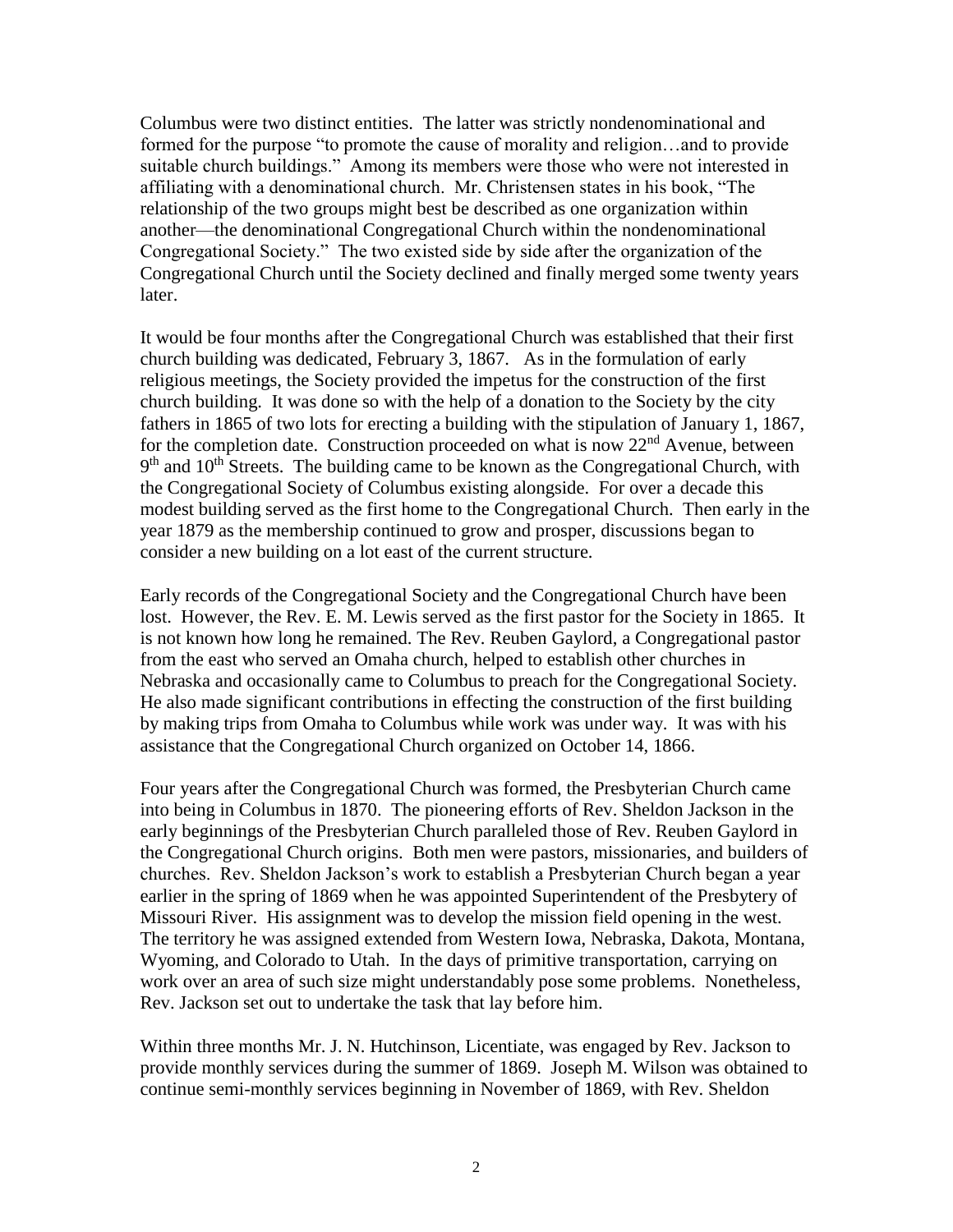Columbus were two distinct entities. The latter was strictly nondenominational and formed for the purpose "to promote the cause of morality and religion…and to provide suitable church buildings." Among its members were those who were not interested in affiliating with a denominational church. Mr. Christensen states in his book, "The relationship of the two groups might best be described as one organization within another—the denominational Congregational Church within the nondenominational Congregational Society." The two existed side by side after the organization of the Congregational Church until the Society declined and finally merged some twenty years later.

It would be four months after the Congregational Church was established that their first church building was dedicated, February 3, 1867. As in the formulation of early religious meetings, the Society provided the impetus for the construction of the first church building. It was done so with the help of a donation to the Society by the city fathers in 1865 of two lots for erecting a building with the stipulation of January 1, 1867, for the completion date. Construction proceeded on what is now  $22<sup>nd</sup>$  Avenue, between 9<sup>th</sup> and 10<sup>th</sup> Streets. The building came to be known as the Congregational Church, with the Congregational Society of Columbus existing alongside. For over a decade this modest building served as the first home to the Congregational Church. Then early in the year 1879 as the membership continued to grow and prosper, discussions began to consider a new building on a lot east of the current structure.

Early records of the Congregational Society and the Congregational Church have been lost. However, the Rev. E. M. Lewis served as the first pastor for the Society in 1865. It is not known how long he remained. The Rev. Reuben Gaylord, a Congregational pastor from the east who served an Omaha church, helped to establish other churches in Nebraska and occasionally came to Columbus to preach for the Congregational Society. He also made significant contributions in effecting the construction of the first building by making trips from Omaha to Columbus while work was under way. It was with his assistance that the Congregational Church organized on October 14, 1866.

Four years after the Congregational Church was formed, the Presbyterian Church came into being in Columbus in 1870. The pioneering efforts of Rev. Sheldon Jackson in the early beginnings of the Presbyterian Church paralleled those of Rev. Reuben Gaylord in the Congregational Church origins. Both men were pastors, missionaries, and builders of churches. Rev. Sheldon Jackson's work to establish a Presbyterian Church began a year earlier in the spring of 1869 when he was appointed Superintendent of the Presbytery of Missouri River. His assignment was to develop the mission field opening in the west. The territory he was assigned extended from Western Iowa, Nebraska, Dakota, Montana, Wyoming, and Colorado to Utah. In the days of primitive transportation, carrying on work over an area of such size might understandably pose some problems. Nonetheless, Rev. Jackson set out to undertake the task that lay before him.

Within three months Mr. J. N. Hutchinson, Licentiate, was engaged by Rev. Jackson to provide monthly services during the summer of 1869. Joseph M. Wilson was obtained to continue semi-monthly services beginning in November of 1869, with Rev. Sheldon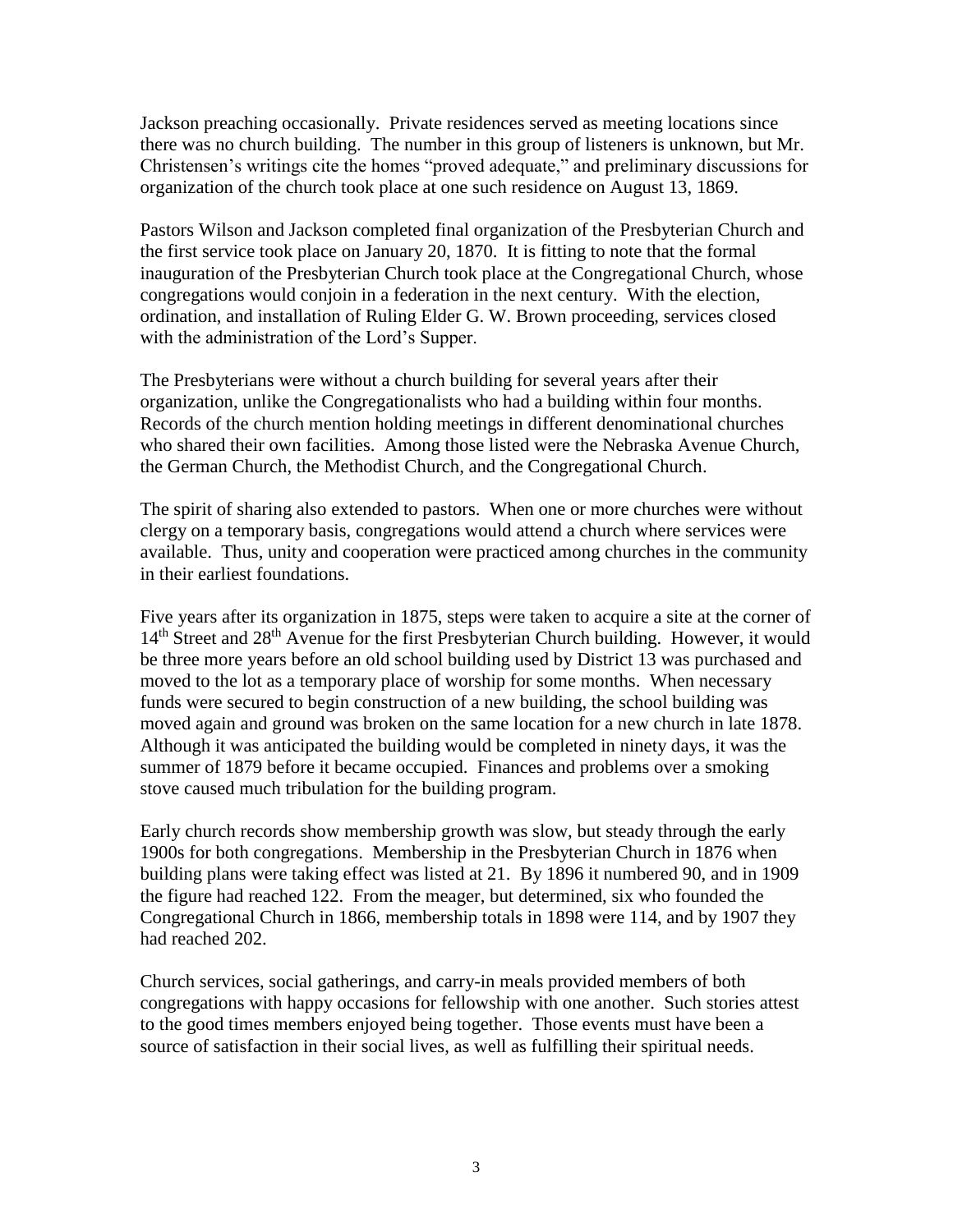Jackson preaching occasionally. Private residences served as meeting locations since there was no church building. The number in this group of listeners is unknown, but Mr. Christensen's writings cite the homes "proved adequate," and preliminary discussions for organization of the church took place at one such residence on August 13, 1869.

Pastors Wilson and Jackson completed final organization of the Presbyterian Church and the first service took place on January 20, 1870. It is fitting to note that the formal inauguration of the Presbyterian Church took place at the Congregational Church, whose congregations would conjoin in a federation in the next century. With the election, ordination, and installation of Ruling Elder G. W. Brown proceeding, services closed with the administration of the Lord's Supper.

The Presbyterians were without a church building for several years after their organization, unlike the Congregationalists who had a building within four months. Records of the church mention holding meetings in different denominational churches who shared their own facilities. Among those listed were the Nebraska Avenue Church, the German Church, the Methodist Church, and the Congregational Church.

The spirit of sharing also extended to pastors. When one or more churches were without clergy on a temporary basis, congregations would attend a church where services were available. Thus, unity and cooperation were practiced among churches in the community in their earliest foundations.

Five years after its organization in 1875, steps were taken to acquire a site at the corner of 14<sup>th</sup> Street and 28<sup>th</sup> Avenue for the first Presbyterian Church building. However, it would be three more years before an old school building used by District 13 was purchased and moved to the lot as a temporary place of worship for some months. When necessary funds were secured to begin construction of a new building, the school building was moved again and ground was broken on the same location for a new church in late 1878. Although it was anticipated the building would be completed in ninety days, it was the summer of 1879 before it became occupied. Finances and problems over a smoking stove caused much tribulation for the building program.

Early church records show membership growth was slow, but steady through the early 1900s for both congregations. Membership in the Presbyterian Church in 1876 when building plans were taking effect was listed at 21. By 1896 it numbered 90, and in 1909 the figure had reached 122. From the meager, but determined, six who founded the Congregational Church in 1866, membership totals in 1898 were 114, and by 1907 they had reached 202.

Church services, social gatherings, and carry-in meals provided members of both congregations with happy occasions for fellowship with one another. Such stories attest to the good times members enjoyed being together. Those events must have been a source of satisfaction in their social lives, as well as fulfilling their spiritual needs.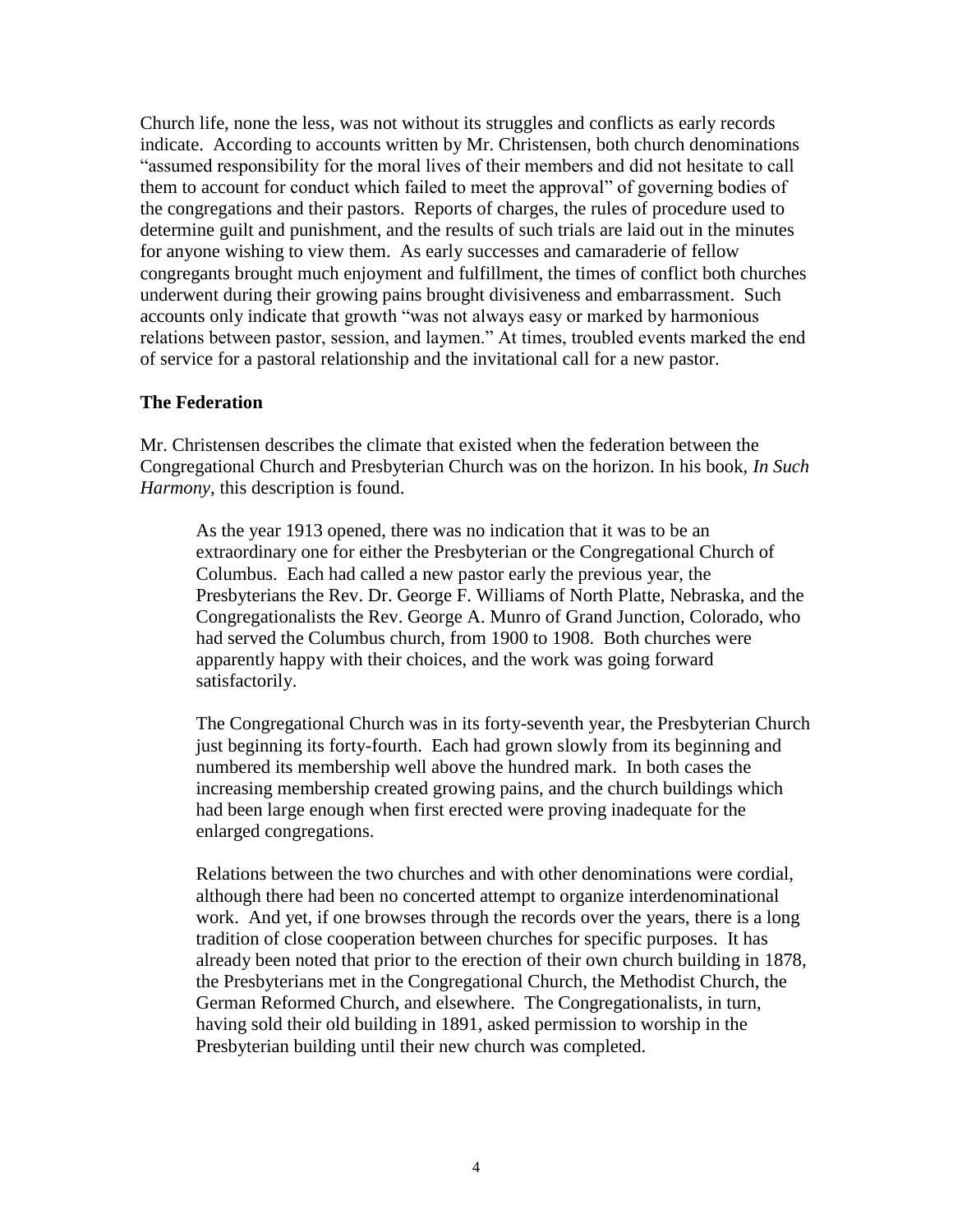Church life, none the less, was not without its struggles and conflicts as early records indicate. According to accounts written by Mr. Christensen, both church denominations "assumed responsibility for the moral lives of their members and did not hesitate to call them to account for conduct which failed to meet the approval" of governing bodies of the congregations and their pastors. Reports of charges, the rules of procedure used to determine guilt and punishment, and the results of such trials are laid out in the minutes for anyone wishing to view them. As early successes and camaraderie of fellow congregants brought much enjoyment and fulfillment, the times of conflict both churches underwent during their growing pains brought divisiveness and embarrassment. Such accounts only indicate that growth "was not always easy or marked by harmonious relations between pastor, session, and laymen." At times, troubled events marked the end of service for a pastoral relationship and the invitational call for a new pastor.

## **The Federation**

Mr. Christensen describes the climate that existed when the federation between the Congregational Church and Presbyterian Church was on the horizon. In his book, *In Such Harmony*, this description is found.

As the year 1913 opened, there was no indication that it was to be an extraordinary one for either the Presbyterian or the Congregational Church of Columbus. Each had called a new pastor early the previous year, the Presbyterians the Rev. Dr. George F. Williams of North Platte, Nebraska, and the Congregationalists the Rev. George A. Munro of Grand Junction, Colorado, who had served the Columbus church, from 1900 to 1908. Both churches were apparently happy with their choices, and the work was going forward satisfactorily.

The Congregational Church was in its forty-seventh year, the Presbyterian Church just beginning its forty-fourth. Each had grown slowly from its beginning and numbered its membership well above the hundred mark. In both cases the increasing membership created growing pains, and the church buildings which had been large enough when first erected were proving inadequate for the enlarged congregations.

Relations between the two churches and with other denominations were cordial, although there had been no concerted attempt to organize interdenominational work. And yet, if one browses through the records over the years, there is a long tradition of close cooperation between churches for specific purposes. It has already been noted that prior to the erection of their own church building in 1878, the Presbyterians met in the Congregational Church, the Methodist Church, the German Reformed Church, and elsewhere. The Congregationalists, in turn, having sold their old building in 1891, asked permission to worship in the Presbyterian building until their new church was completed.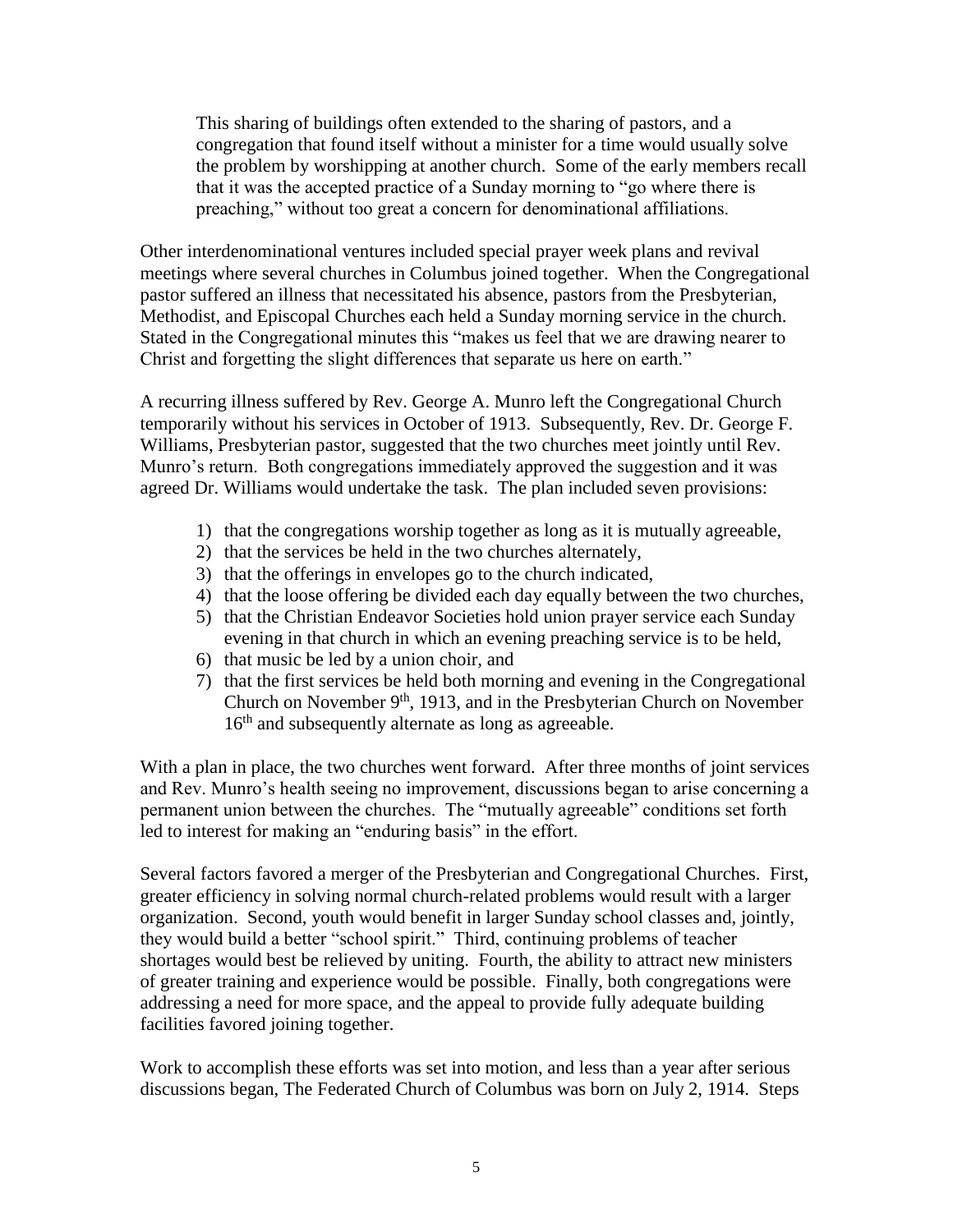This sharing of buildings often extended to the sharing of pastors, and a congregation that found itself without a minister for a time would usually solve the problem by worshipping at another church. Some of the early members recall that it was the accepted practice of a Sunday morning to "go where there is preaching," without too great a concern for denominational affiliations.

Other interdenominational ventures included special prayer week plans and revival meetings where several churches in Columbus joined together. When the Congregational pastor suffered an illness that necessitated his absence, pastors from the Presbyterian, Methodist, and Episcopal Churches each held a Sunday morning service in the church. Stated in the Congregational minutes this "makes us feel that we are drawing nearer to Christ and forgetting the slight differences that separate us here on earth."

A recurring illness suffered by Rev. George A. Munro left the Congregational Church temporarily without his services in October of 1913. Subsequently, Rev. Dr. George F. Williams, Presbyterian pastor, suggested that the two churches meet jointly until Rev. Munro's return. Both congregations immediately approved the suggestion and it was agreed Dr. Williams would undertake the task. The plan included seven provisions:

- 1) that the congregations worship together as long as it is mutually agreeable,
- 2) that the services be held in the two churches alternately,
- 3) that the offerings in envelopes go to the church indicated,
- 4) that the loose offering be divided each day equally between the two churches,
- 5) that the Christian Endeavor Societies hold union prayer service each Sunday evening in that church in which an evening preaching service is to be held,
- 6) that music be led by a union choir, and
- 7) that the first services be held both morning and evening in the Congregational Church on November 9<sup>th</sup>, 1913, and in the Presbyterian Church on November 16<sup>th</sup> and subsequently alternate as long as agreeable.

With a plan in place, the two churches went forward. After three months of joint services and Rev. Munro's health seeing no improvement, discussions began to arise concerning a permanent union between the churches. The "mutually agreeable" conditions set forth led to interest for making an "enduring basis" in the effort.

Several factors favored a merger of the Presbyterian and Congregational Churches. First, greater efficiency in solving normal church-related problems would result with a larger organization. Second, youth would benefit in larger Sunday school classes and, jointly, they would build a better "school spirit." Third, continuing problems of teacher shortages would best be relieved by uniting. Fourth, the ability to attract new ministers of greater training and experience would be possible. Finally, both congregations were addressing a need for more space, and the appeal to provide fully adequate building facilities favored joining together.

Work to accomplish these efforts was set into motion, and less than a year after serious discussions began, The Federated Church of Columbus was born on July 2, 1914. Steps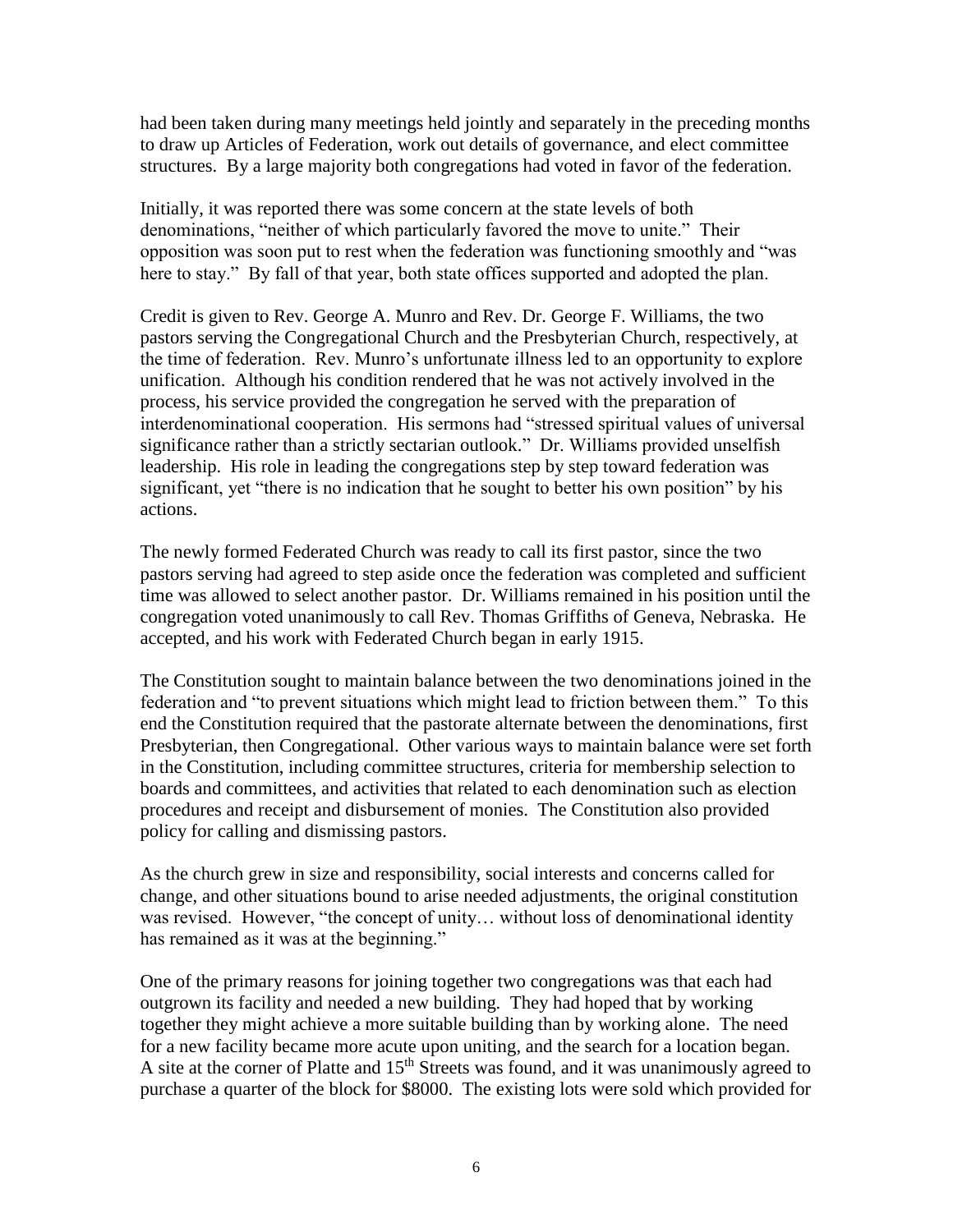had been taken during many meetings held jointly and separately in the preceding months to draw up Articles of Federation, work out details of governance, and elect committee structures. By a large majority both congregations had voted in favor of the federation.

Initially, it was reported there was some concern at the state levels of both denominations, "neither of which particularly favored the move to unite." Their opposition was soon put to rest when the federation was functioning smoothly and "was here to stay." By fall of that year, both state offices supported and adopted the plan.

Credit is given to Rev. George A. Munro and Rev. Dr. George F. Williams, the two pastors serving the Congregational Church and the Presbyterian Church, respectively, at the time of federation. Rev. Munro's unfortunate illness led to an opportunity to explore unification. Although his condition rendered that he was not actively involved in the process, his service provided the congregation he served with the preparation of interdenominational cooperation. His sermons had "stressed spiritual values of universal significance rather than a strictly sectarian outlook." Dr. Williams provided unselfish leadership. His role in leading the congregations step by step toward federation was significant, yet "there is no indication that he sought to better his own position" by his actions.

The newly formed Federated Church was ready to call its first pastor, since the two pastors serving had agreed to step aside once the federation was completed and sufficient time was allowed to select another pastor. Dr. Williams remained in his position until the congregation voted unanimously to call Rev. Thomas Griffiths of Geneva, Nebraska. He accepted, and his work with Federated Church began in early 1915.

The Constitution sought to maintain balance between the two denominations joined in the federation and "to prevent situations which might lead to friction between them." To this end the Constitution required that the pastorate alternate between the denominations, first Presbyterian, then Congregational. Other various ways to maintain balance were set forth in the Constitution, including committee structures, criteria for membership selection to boards and committees, and activities that related to each denomination such as election procedures and receipt and disbursement of monies. The Constitution also provided policy for calling and dismissing pastors.

As the church grew in size and responsibility, social interests and concerns called for change, and other situations bound to arise needed adjustments, the original constitution was revised. However, "the concept of unity… without loss of denominational identity has remained as it was at the beginning."

One of the primary reasons for joining together two congregations was that each had outgrown its facility and needed a new building. They had hoped that by working together they might achieve a more suitable building than by working alone. The need for a new facility became more acute upon uniting, and the search for a location began. A site at the corner of Platte and 15<sup>th</sup> Streets was found, and it was unanimously agreed to purchase a quarter of the block for \$8000. The existing lots were sold which provided for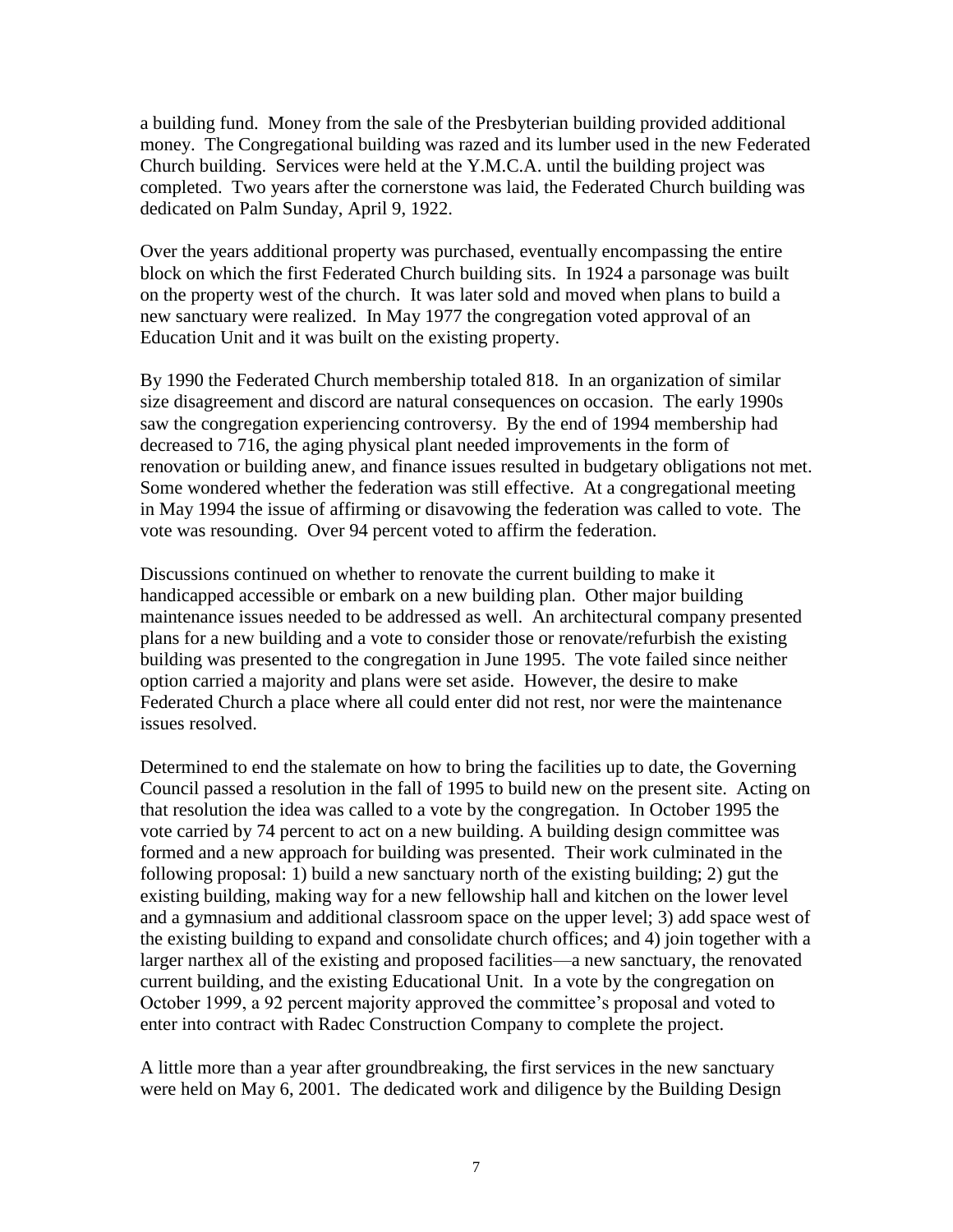a building fund. Money from the sale of the Presbyterian building provided additional money. The Congregational building was razed and its lumber used in the new Federated Church building. Services were held at the Y.M.C.A. until the building project was completed. Two years after the cornerstone was laid, the Federated Church building was dedicated on Palm Sunday, April 9, 1922.

Over the years additional property was purchased, eventually encompassing the entire block on which the first Federated Church building sits. In 1924 a parsonage was built on the property west of the church. It was later sold and moved when plans to build a new sanctuary were realized. In May 1977 the congregation voted approval of an Education Unit and it was built on the existing property.

By 1990 the Federated Church membership totaled 818. In an organization of similar size disagreement and discord are natural consequences on occasion. The early 1990s saw the congregation experiencing controversy. By the end of 1994 membership had decreased to 716, the aging physical plant needed improvements in the form of renovation or building anew, and finance issues resulted in budgetary obligations not met. Some wondered whether the federation was still effective. At a congregational meeting in May 1994 the issue of affirming or disavowing the federation was called to vote. The vote was resounding. Over 94 percent voted to affirm the federation.

Discussions continued on whether to renovate the current building to make it handicapped accessible or embark on a new building plan. Other major building maintenance issues needed to be addressed as well. An architectural company presented plans for a new building and a vote to consider those or renovate/refurbish the existing building was presented to the congregation in June 1995. The vote failed since neither option carried a majority and plans were set aside. However, the desire to make Federated Church a place where all could enter did not rest, nor were the maintenance issues resolved.

Determined to end the stalemate on how to bring the facilities up to date, the Governing Council passed a resolution in the fall of 1995 to build new on the present site. Acting on that resolution the idea was called to a vote by the congregation. In October 1995 the vote carried by 74 percent to act on a new building. A building design committee was formed and a new approach for building was presented. Their work culminated in the following proposal: 1) build a new sanctuary north of the existing building; 2) gut the existing building, making way for a new fellowship hall and kitchen on the lower level and a gymnasium and additional classroom space on the upper level; 3) add space west of the existing building to expand and consolidate church offices; and 4) join together with a larger narthex all of the existing and proposed facilities—a new sanctuary, the renovated current building, and the existing Educational Unit. In a vote by the congregation on October 1999, a 92 percent majority approved the committee's proposal and voted to enter into contract with Radec Construction Company to complete the project.

A little more than a year after groundbreaking, the first services in the new sanctuary were held on May 6, 2001. The dedicated work and diligence by the Building Design